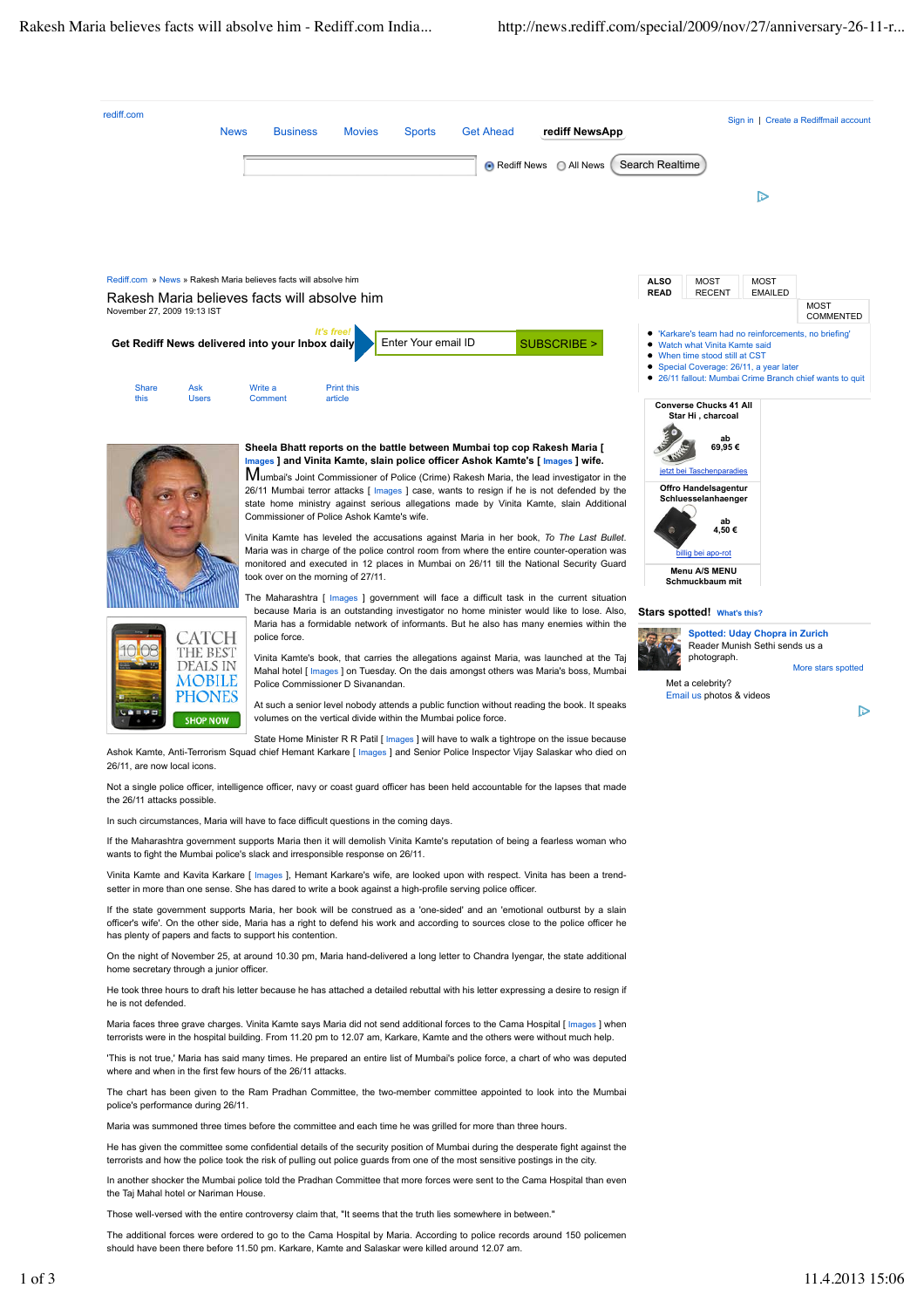